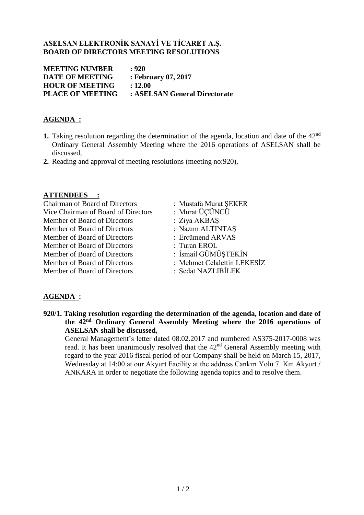#### **ASELSAN ELEKTRONİK SANAYİ VE TİCARET A.Ş. BOARD OF DIRECTORS MEETING RESOLUTIONS**

**MEETING NUMBER : 920 DATE OF MEETING : February 07, 2017 HOUR OF MEETING : 12.00 PLACE OF MEETING : ASELSAN General Directorate**

# **AGENDA :**

- **1.** Taking resolution regarding the determination of the agenda, location and date of the 42<sup>nd</sup> Ordinary General Assembly Meeting where the 2016 operations of ASELSAN shall be discussed,
- **2.** Reading and approval of meeting resolutions (meeting no:920),

## **ATTENDEES :**

Chairman of Board of Directors : Mustafa Murat ŞEKER Vice Chairman of Board of Directors : Murat ÜÇÜNCÜ Member of Board of Directors : Ziya AKBAS Member of Board of Directors : Nazım ALTINTAŞ Member of Board of Directors : Ercümend ARVAS Member of Board of Directors : Turan EROL Member of Board of Directors : Ismail GÜMÜSTEKİN Member of Board of Directors : Mehmet Celalettin LEKESİZ Member of Board of Directors : Sedat NAZLIBİLEK

- 
- 
- 
- 
- 
- 
- 
- 
- 

## **AGENDA :**

**920/1. Taking resolution regarding the determination of the agenda, location and date of the 42 nd Ordinary General Assembly Meeting where the 2016 operations of ASELSAN shall be discussed,**

General Management's letter dated 08.02.2017 and numbered AS375-2017-0008 was read. It has been unanimously resolved that the 42<sup>nd</sup> General Assembly meeting with regard to the year 2016 fiscal period of our Company shall be held on March 15, 2017, Wednesday at 14:00 at our Akyurt Facility at the address Cankırı Yolu 7. Km Akyurt / ANKARA in order to negotiate the following agenda topics and to resolve them.